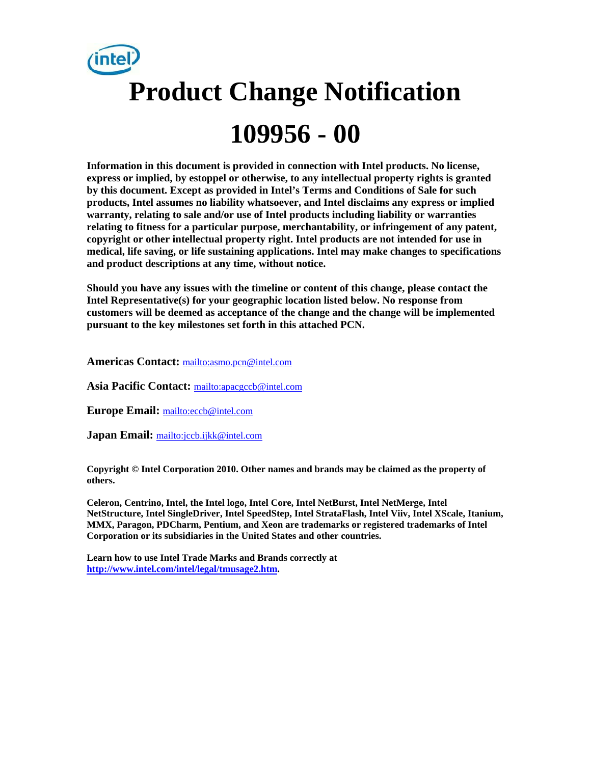

**Information in this document is provided in connection with Intel products. No license, express or implied, by estoppel or otherwise, to any intellectual property rights is granted by this document. Except as provided in Intel's Terms and Conditions of Sale for such products, Intel assumes no liability whatsoever, and Intel disclaims any express or implied warranty, relating to sale and/or use of Intel products including liability or warranties relating to fitness for a particular purpose, merchantability, or infringement of any patent, copyright or other intellectual property right. Intel products are not intended for use in medical, life saving, or life sustaining applications. Intel may make changes to specifications and product descriptions at any time, without notice.** 

**Should you have any issues with the timeline or content of this change, please contact the Intel Representative(s) for your geographic location listed below. No response from customers will be deemed as acceptance of the change and the change will be implemented pursuant to the key milestones set forth in this attached PCN.** 

**Americas Contact:** mailto:asmo.pcn@intel.com

**Asia Pacific Contact:** mailto:apacgccb@intel.com

**Europe Email:** mailto:eccb@intel.com

**Japan Email:** mailto:jccb.ijkk@intel.com

**Copyright © Intel Corporation 2010. Other names and brands may be claimed as the property of others.**

**Celeron, Centrino, Intel, the Intel logo, Intel Core, Intel NetBurst, Intel NetMerge, Intel NetStructure, Intel SingleDriver, Intel SpeedStep, Intel StrataFlash, Intel Viiv, Intel XScale, Itanium, MMX, Paragon, PDCharm, Pentium, and Xeon are trademarks or registered trademarks of Intel Corporation or its subsidiaries in the United States and other countries.** 

**Learn how to use Intel Trade Marks and Brands correctly at http://www.intel.com/intel/legal/tmusage2.htm.**